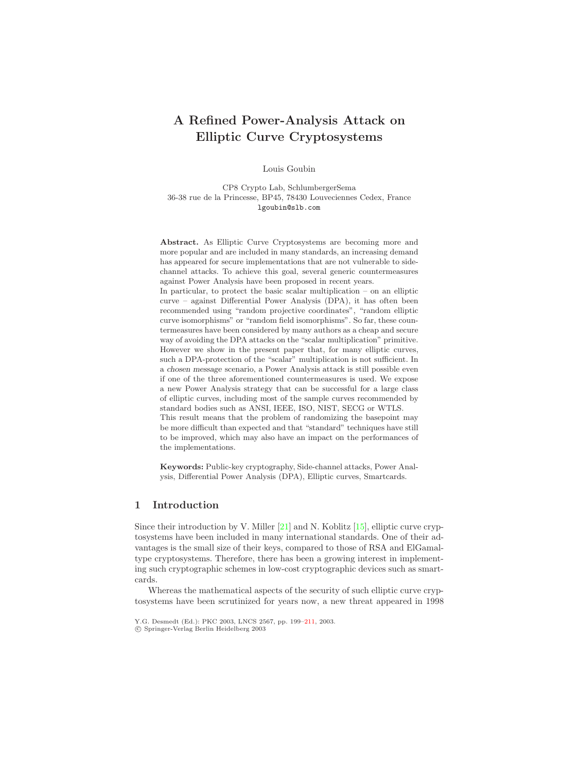# <span id="page-0-0"></span>**A Refined Power-Analysis Attack on Elliptic Curve Cryptosystems**

Louis Goubin

CP8 Crypto Lab, SchlumbergerSema 36-38 rue de la Princesse, BP45, 78430Louveciennes Cedex, France lgoubin@slb.com

**Abstract.** As Elliptic Curve Cryptosystems are becoming more and more popular and are included in many standards, an increasing demand has appeared for secure implementations that are not vulnerable to sidechannel attacks. To achieve this goal, several generic countermeasures against Power Analysis have been proposed in recent years. In particular, to protect the basic scalar multiplication – on an elliptic curve – against Differential Power Analysis (DPA), it has often been recommended using "random projective coordinates", "random elliptic curve isomorphisms" or "random field isomorphisms". So far, these countermeasures have been considered by many authors as a cheap and secure way of avoiding the DPA attacks on the "scalar multiplication" primitive. However we show in the present paper that, for many elliptic curves, such a DPA-protection of the "scalar" multiplication is not sufficient. In a *chosen message* scenario, a Power Analysis attack is still possible even if one of the three aforementioned countermeasures is used. We expose a new Power Analysis strategy that can be successful for a large class of elliptic curves, including most of the sample curves recommended by standard bodies such as ANSI, IEEE, ISO, NIST, SECG or WTLS. This result means that the problem of randomizing the basepoint may be more difficult than expected and that "standard" techniques have still to be improved, which may also have an impact on the performances of the implementations.

**Keywords:** Public-key cryptography, Side-channel attacks, Power Analysis, Differential Power Analysis (DPA), Elliptic curves, Smartcards.

# **1 Introduction**

Since their introduction by V. Miller  $[21]$  and N. Koblitz  $[15]$ , elliptic curve cryptosystems have been included in many international standards. One of their advantages is the small size of their keys, compared to those of RSA and ElGamaltype cryptosystems. Therefore, there has been a growing interest in implementing such cryptographic schemes in low-cost cryptographic devices such as smartcards.

Whereas the mathematical aspects of the security of such elliptic curve cryptosystems have been scrutinized for years now, a new threat appeared in 1998

Y.G. Desmedt (Ed.): PKC 2003, LNCS 2567, pp. 199[–211,](#page-12-0) 2003. c Springer-Verlag Berlin Heidelberg 2003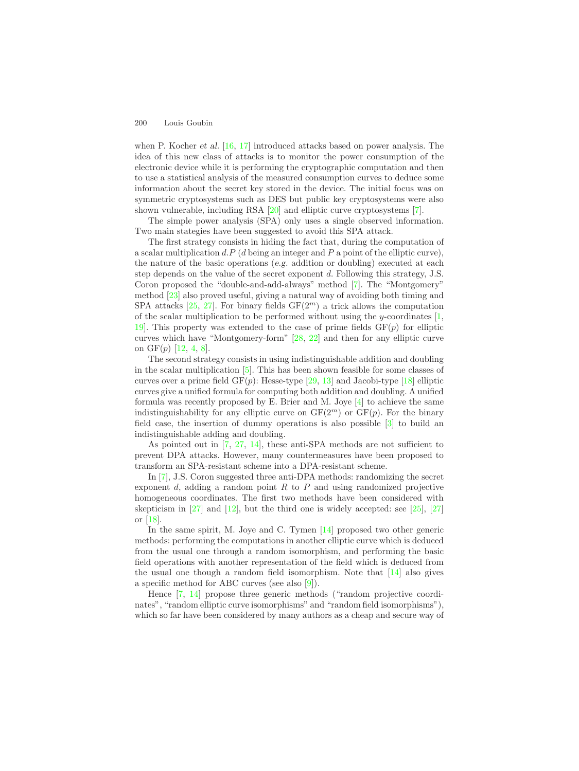<span id="page-1-0"></span>when P. Kocher *et al.* [\[16,](#page-11-2) [17\]](#page-11-3) introduced attacks based on power analysis. The idea of this new class of attacks is to monitor the power consumption of the electronic device while it is performing the cryptographic computation and then to use a statistical analysis of the measured consumption curves to deduce some information about the secret key stored in the device. The initial focus was on symmetric cryptosystems such as DES but public key cryptosystems were also shown vulnerable, including RSA [\[20\]](#page-11-4) and elliptic curve cryptosystems [\[7\]](#page-10-0).

The simple power analysis (SPA) only uses a single observed information. Two main stategies have been suggested to avoid this SPA attack.

The first strategy consists in hiding the fact that, during the computation of a scalar multiplication  $d.P$  ( $d$  being an integer and  $P$  a point of the elliptic curve), the nature of the basic operations (*e.g.* addition or doubling) executed at each step depends on the value of the secret exponent d. Following this strategy, J.S. Coron proposed the "double-and-add-always" method [\[7\]](#page-10-0). The "Montgomery" method [\[23\]](#page-11-5) also proved useful, giving a natural way of avoiding both timing and SPA attacks  $[25, 27]$  $[25, 27]$  $[25, 27]$ . For binary fields  $GF(2<sup>m</sup>)$  a trick allows the computation of the scalar multiplication to be performed without using the y-coordinates  $[1,$ 19. This property was extended to the case of prime fields  $GF(p)$  for elliptic curves which have "Montgomery-form" [\[28,](#page-11-9) [22\]](#page-11-10) and then for any elliptic curve on  $GF(p)$  [\[12,](#page-10-2) [4,](#page-10-3) [8\]](#page-10-4).

The second strategy consists in using indistinguishable addition and doubling in the scalar multiplication [\[5\]](#page-10-5). This has been shown feasible for some classes of curves over a prime field  $GF(p)$ : Hesse-type [\[29,](#page-11-11) [13\]](#page-11-12) and Jacobi-type [\[18\]](#page-11-13) elliptic curves give a unified formula for computing both addition and doubling. A unified formula was recently proposed by E. Brier and M. Joye  $[4]$  to achieve the same indistinguishability for any elliptic curve on  $GF(2<sup>m</sup>)$  or  $GF(p)$ . For the binary field case, the insertion of dummy operations is also possible [\[3\]](#page-10-6) to build an indistinguishable adding and doubling.

As pointed out in  $[7, 27, 14]$  $[7, 27, 14]$  $[7, 27, 14]$  $[7, 27, 14]$  $[7, 27, 14]$ , these anti-SPA methods are not sufficient to prevent DPA attacks. However, many countermeasures have been proposed to transform an SPA-resistant scheme into a DPA-resistant scheme.

In [\[7\]](#page-10-0), J.S. Coron suggested three anti-DPA methods: randomizing the secret exponent  $d$ , adding a random point  $R$  to  $P$  and using randomized projective homogeneous coordinates. The first two methods have been considered with skepticism in  $[27]$  and  $[12]$ , but the third one is widely accepted: see  $[25]$ ,  $[27]$ or [\[18\]](#page-11-13).

In the same spirit, M. Joye and C. Tymen [\[14\]](#page-11-14) proposed two other generic methods: performing the computations in another elliptic curve which is deduced from the usual one through a random isomorphism, and performing the basic field operations with another representation of the field which is deduced from the usual one though a random field isomorphism. Note that [\[14\]](#page-11-14) also gives a specific method for ABC curves (see also [\[9\]](#page-10-7)).

Hence [\[7,](#page-10-0) [14\]](#page-11-14) propose three generic methods ("random projective coordinates", "random elliptic curve isomorphisms" and "random field isomorphisms"), which so far have been considered by many authors as a cheap and secure way of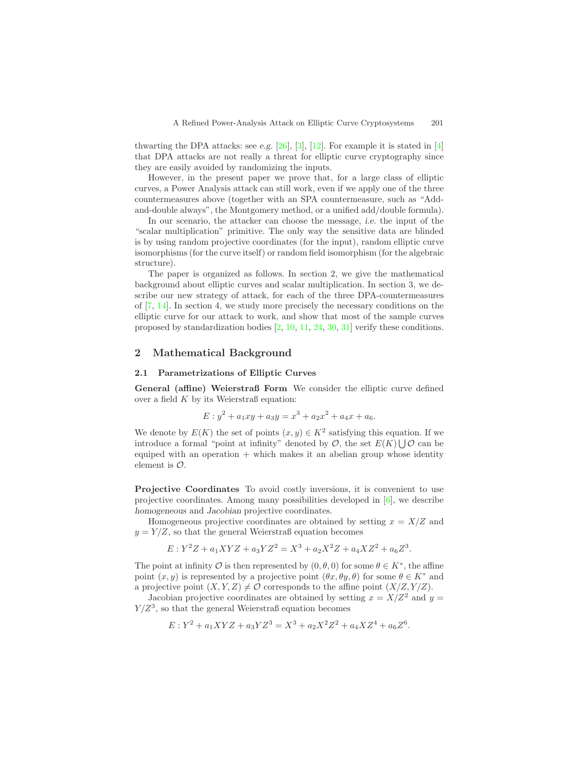<span id="page-2-0"></span>thwarting the DPA attacks: see *e.g.* [\[26\]](#page-11-15), [\[3\]](#page-10-6), [\[12\]](#page-10-2). For example it is stated in [\[4\]](#page-10-3) that DPA attacks are not really a threat for elliptic curve cryptography since they are easily avoided by randomizing the inputs.

However, in the present paper we prove that, for a large class of elliptic curves, a Power Analysis attack can still work, even if we apply one of the three countermeasures above (together with an SPA countermeasure, such as "Addand-double always", the Montgomery method, or a unified add/double formula).

In our scenario, the attacker can choose the message, *i.e.* the input of the "scalar multiplication" primitive. The only way the sensitive data are blinded is by using random projective coordinates (for the input), random elliptic curve isomorphisms (for the curve itself) or random field isomorphism (for the algebraic structure).

The paper is organized as follows. In section 2, we give the mathematical background about elliptic curves and scalar multiplication. In section 3, we describe our new strategy of attack, for each of the three DPA-countermeasures of [\[7,](#page-10-0) [14\]](#page-11-14). In section 4, we study more precisely the necessary conditions on the elliptic curve for our attack to work, and show that most of the sample curves proposed by standardization bodies [\[2,](#page-10-8) [10,](#page-10-9) [11,](#page-10-10) [24,](#page-11-16) [30,](#page-12-1) [31\]](#page-12-2) verify these conditions.

## **2 Mathematical Background**

#### **2.1 Parametrizations of Elliptic Curves**

**General (affine) Weierstraß Form** We consider the elliptic curve defined over a field  $K$  by its Weierstraß equation:

$$
E: y^2 + a_1xy + a_3y = x^3 + a_2x^2 + a_4x + a_6.
$$

We denote by  $E(K)$  the set of points  $(x, y) \in K^2$  satisfying this equation. If we introduce a formal "point at infinity" denoted by  $\mathcal{O}$ , the set  $E(K) \bigcup \mathcal{O}$  can be equiped with an operation  $+$  which makes it an abelian group whose identity element is  $\mathcal{O}$ .

**Projective Coordinates** To avoid costly inversions, it is convenient to use projective coordinates. Among many possibilities developed in [\[6\]](#page-10-11), we describe *homogeneous* and *Jacobian* projective coordinates.

Homogeneous projective coordinates are obtained by setting  $x = X/Z$  and  $y = Y/Z$ , so that the general Weierstraß equation becomes

$$
E: Y^2Z + a_1XYZ + a_3YZ^2 = X^3 + a_2X^2Z + a_4XZ^2 + a_6Z^3.
$$

The point at infinity  $\mathcal O$  is then represented by  $(0, \theta, 0)$  for some  $\theta \in K^*$ , the affine point  $(x, y)$  is represented by a projective point  $(\theta x, \theta y, \theta)$  for some  $\theta \in K^*$  and a projective point  $(X, Y, Z) \neq \mathcal{O}$  corresponds to the affine point  $(X/Z, Y/Z)$ .

Jacobian projective coordinates are obtained by setting  $x = X/Z^2$  and  $y =$  $Y/Z<sup>3</sup>$ , so that the general Weierstraß equation becomes

$$
E: Y^2 + a_1XYZ + a_3YZ^3 = X^3 + a_2X^2Z^2 + a_4XZ^4 + a_6Z^6.
$$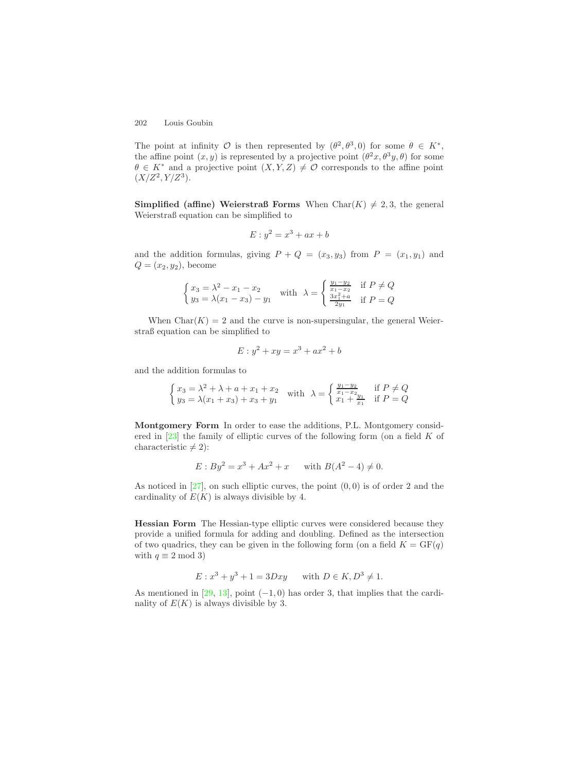<span id="page-3-0"></span>The point at infinity  $\mathcal O$  is then represented by  $(\theta^2, \theta^3, 0)$  for some  $\theta \in K^*$ , the affine point  $(x, y)$  is represented by a projective point  $(\theta^2 x, \theta^3 y, \theta)$  for some  $\theta \in K^*$  and a projective point  $(X, Y, Z) \neq \mathcal{O}$  corresponds to the affine point  $(X/Z^2, Y/Z^3)$ .

**Simplified (affine) Weierstraß Forms** When Char( $K$ )  $\neq$  2, 3, the general Weierstraß equation can be simplified to

$$
E: y^2 = x^3 + ax + b
$$

and the addition formulas, giving  $P + Q = (x_3, y_3)$  from  $P = (x_1, y_1)$  and  $Q = (x_2, y_2)$ , become

$$
\begin{cases} x_3 = \lambda^2 - x_1 - x_2 \\ y_3 = \lambda (x_1 - x_3) - y_1 \end{cases} \text{ with } \lambda = \begin{cases} \frac{y_1 - y_2}{x_1 - x_2} & \text{if } P \neq Q \\ \frac{3x_1^2 + a}{2y_1} & \text{if } P = Q \end{cases}
$$

When  $Char(K) = 2$  and the curve is non-supersingular, the general Weierstraß equation can be simplified to

$$
E: y^2 + xy = x^3 + ax^2 + b
$$

and the addition formulas to

$$
\begin{cases} x_3 = \lambda^2 + \lambda + a + x_1 + x_2 \\ y_3 = \lambda(x_1 + x_3) + x_3 + y_1 \end{cases}
$$
 with  $\lambda = \begin{cases} \frac{y_1 - y_2}{x_1 - x_2} & \text{if } P \neq Q \\ x_1 + \frac{y_1}{x_1} & \text{if } P = Q \end{cases}$ 

**Montgomery Form** In order to ease the additions, P.L. Montgomery considered in  $[23]$  the family of elliptic curves of the following form (on a field K of characteristic  $\neq 2$ :

$$
E: By^2 = x^3 + Ax^2 + x \quad \text{with } B(A^2 - 4) \neq 0.
$$

As noticed in  $[27]$ , on such elliptic curves, the point  $(0, 0)$  is of order 2 and the cardinality of  $E(K)$  is always divisible by 4.

**Hessian Form** The Hessian-type elliptic curves were considered because they provide a unified formula for adding and doubling. Defined as the intersection of two quadrics, they can be given in the following form (on a field  $K = GF(q)$ ) with  $q \equiv 2 \mod 3$ 

$$
E: x^3 + y^3 + 1 = 3Dxy
$$
 with  $D \in K, D^3 \neq 1$ .

As mentioned in [\[29,](#page-11-11) [13\]](#page-11-12), point  $(-1, 0)$  has order 3, that implies that the cardinality of  $E(K)$  is always divisible by 3.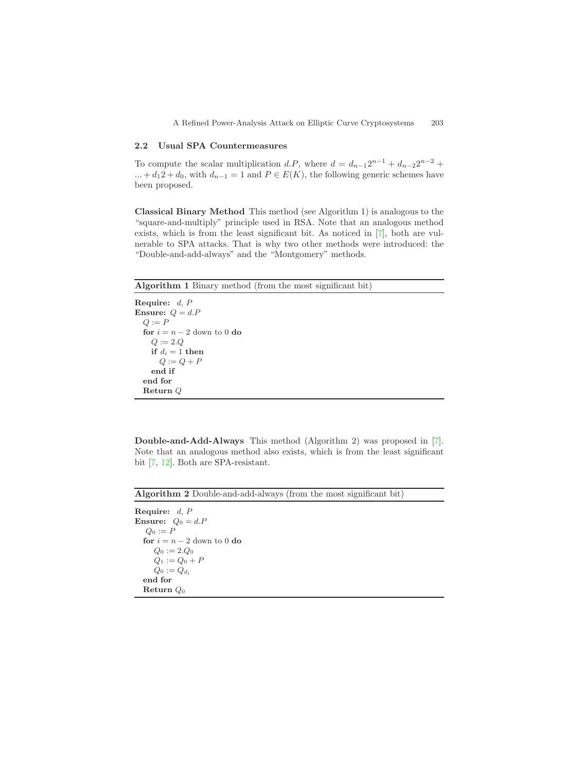#### <span id="page-4-0"></span>**2.2 Usual SPA Countermeasures**

To compute the scalar multiplication d.P, where  $d = d_{n-1}2^{n-1} + d_{n-2}2^{n-2}$  +  $... + d_1 2 + d_0$ , with  $d_{n-1} = 1$  and  $P \in E(K)$ , the following generic schemes have been proposed.

**Classical Binary Method** This method (see Algorithm 1) is analogous to the "square-and-multiply" principle used in RSA. Note that an analogous method exists, which is from the least significant bit. As noticed in [\[7\]](#page-10-0), both are vulnerable to SPA attacks. That is why two other methods were introduced: the "Double-and-add-always" and the "Montgomery" methods.

**Algorithm 1** Binary method (from the most significant bit)

**Require:** *d*, *P* **Ensure:** *Q* = *d.P*  $Q := P$ **for**  $i = n - 2$  down to 0 **do**  $Q := 2.Q$ **if**  $d_i = 1$  **then**  $Q := Q + P$ **end if end for Return** *Q*

**Double-and-Add-Always** This method (Algorithm 2) was proposed in [\[7\]](#page-10-0). Note that an analogous method also exists, which is from the least significant bit [\[7,](#page-10-0) [12\]](#page-10-2). Both are SPA-resistant.

**Algorithm 2** Double-and-add-always (from the most significant bit)

**Require:** *d*, *P* **Ensure:**  $Q_0 = d.P$  $Q_0 := P$ **for**  $i = n - 2$  down to 0 **do**  $Q_0 := 2.Q_0$  $Q_1 := Q_0 + P$  $Q_0 := Q_{d_i}$ **end for Return** *Q*<sup>0</sup>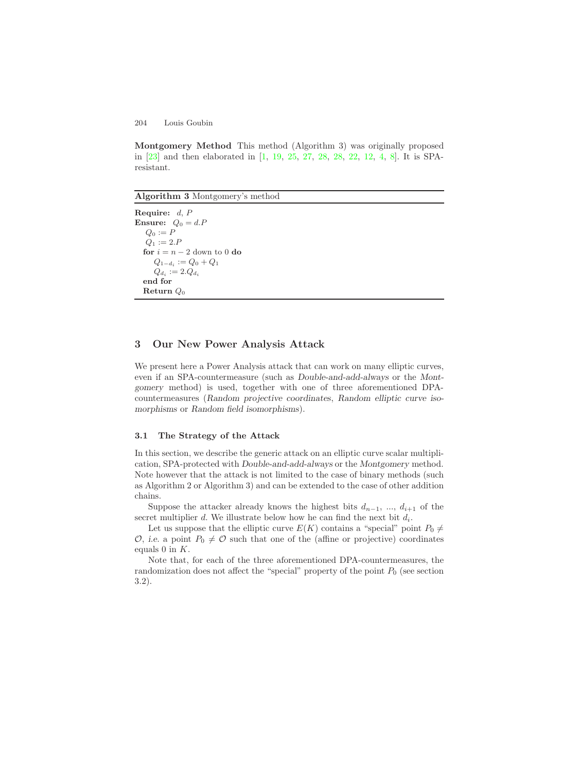<span id="page-5-0"></span>**Montgomery Method** This method (Algorithm 3) was originally proposed in [\[23\]](#page-11-5) and then elaborated in [\[1,](#page-10-1) [19,](#page-11-8) [25,](#page-11-6) [27,](#page-11-7) [28,](#page-11-9) [28,](#page-11-9) [22,](#page-11-10) [12,](#page-10-2) [4,](#page-10-3) [8\]](#page-10-4). It is SPAresistant.

**Algorithm 3** Montgomery's method

**Require:** *d*, *P* **Ensure:**  $Q_0 = d.P$  $Q_0 := P$  $Q_1 := 2.P$ **for**  $i = n - 2$  down to 0 **do** *<sup>Q</sup>*<sup>1</sup>*−d<sup>i</sup>* := *<sup>Q</sup>*<sup>0</sup> <sup>+</sup> *<sup>Q</sup>*<sup>1</sup>  $Q_{d_i} := 2.Q_{d_i}$ **end for Return** *Q*<sup>0</sup>

# **3 Our New Power Analysis Attack**

We present here a Power Analysis attack that can work on many elliptic curves, even if an SPA-countermeasure (such as *Double-and-add-always* or the *Montgomery* method) is used, together with one of three aforementioned DPAcountermeasures (*Random projective coordinates*, *Random elliptic curve isomorphisms* or *Random field isomorphisms*).

## **3.1 The Strategy of the Attack**

In this section, we describe the generic attack on an elliptic curve scalar multiplication, SPA-protected with *Double-and-add-always* or the *Montgomery* method. Note however that the attack is not limited to the case of binary methods (such as Algorithm 2 or Algorithm 3) and can be extended to the case of other addition chains.

Suppose the attacker already knows the highest bits  $d_{n-1}$ , ...,  $d_{i+1}$  of the secret multiplier  $d$ . We illustrate below how he can find the next bit  $d_i$ .

Let us suppose that the elliptic curve  $E(K)$  contains a "special" point  $P_0 \neq$  $\mathcal{O},$  *i.e.* a point  $P_0 \neq \mathcal{O}$  such that one of the (affine or projective) coordinates equals  $0$  in  $K$ .

Note that, for each of the three aforementioned DPA-countermeasures, the randomization does not affect the "special" property of the point  $P_0$  (see section 3.2).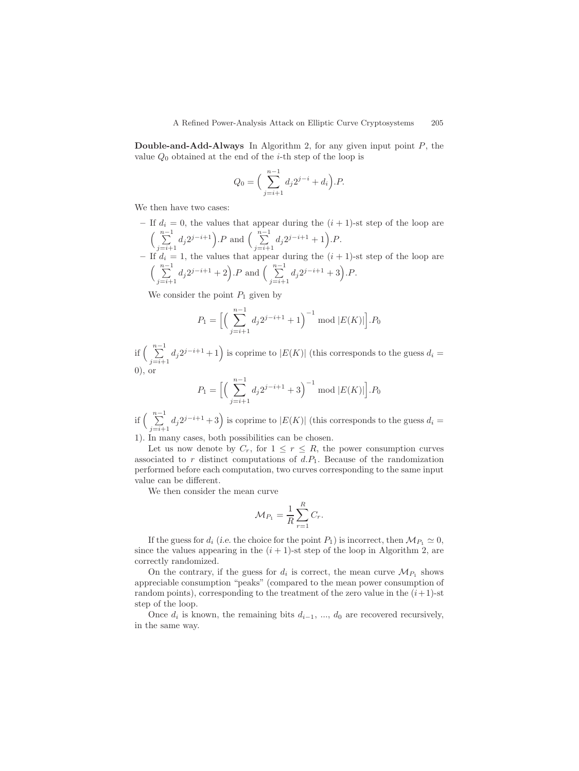**Double-and-Add-Always** In Algorithm 2, for any given input point P, the value  $Q_0$  obtained at the end of the *i*-th step of the loop is

$$
Q_0 = \Big(\sum_{j=i+1}^{n-1} d_j 2^{j-i} + d_i\Big).P.
$$

We then have two cases:

 $-$  If  $d_i = 0$ , the values that appear during the  $(i + 1)$ -st step of the loop are  $\left(\begin{array}{c}n-1\\ \sum\end{array}\right]$  $\sum_{j=i+1}^{n-1} d_j 2^{j-i+1}$ .P and  $\Big(\sum_{j=i+1}^{n-1}$  $\sum_{j=i+1}^{n-1} d_j 2^{j-i+1} + 1.$ .*P*.  $-$  If  $d_i = 1$ , the values that appear during the  $(i + 1)$ -st step of the loop are  $\left(\begin{array}{c}n-1\\ \sum\end{array}\right]$  $\sum_{j=i+1}^{n-1} d_j 2^{j-i+1} + 2$ .P and  $\Big(\sum_{j=i+1}^{n-1}$  $\sum_{j=i+1}^{n-1} d_j 2^{j-i+1} + 3$ . P.

We consider the point  $P_1$  given by

$$
P_1 = \Big[ \Big( \sum_{j=i+1}^{n-1} d_j 2^{j-i+1} + 1 \Big)^{-1} \bmod |E(K)| \Big]. P_0
$$

if  $\left( \begin{array}{c} n-1 \\ \sum \end{array} \right)$  $\sum_{j=i+1}^{n-1} d_j 2^{j-i+1} + 1$  is coprime to  $|E(K)|$  (this corresponds to the guess  $d_i =$  $(0)$ , or

$$
P_1 = \Big[ \Big( \sum_{j=i+1}^{n-1} d_j 2^{j-i+1} + 3 \Big)^{-1} \bmod |E(K)| \Big]. P_0
$$

if  $\left( \begin{array}{c} n-1 \\ \sum \end{array} \right)$  $\sum_{j=i+1}^{n-1} d_j 2^{j-i+1} + 3$ ) is coprime to  $|E(K)|$  (this corresponds to the guess  $d_i =$ 

1). In many cases, both possibilities can be chosen.

Let us now denote by  $C_r$ , for  $1 \leq r \leq R$ , the power consumption curves associated to  $r$  distinct computations of  $d.P_1$ . Because of the randomization performed before each computation, two curves corresponding to the same input value can be different.

We then consider the mean curve

$$
\mathcal{M}_{P_1} = \frac{1}{R} \sum_{r=1}^R C_r.
$$

If the guess for  $d_i$  (*i.e.* the choice for the point  $P_1$ ) is incorrect, then  $\mathcal{M}_{P_1} \simeq 0$ , since the values appearing in the  $(i + 1)$ -st step of the loop in Algorithm 2, are correctly randomized.

On the contrary, if the guess for  $d_i$  is correct, the mean curve  $\mathcal{M}_{P_1}$  shows appreciable consumption "peaks" (compared to the mean power consumption of random points), corresponding to the treatment of the zero value in the  $(i+1)$ -st step of the loop.

Once  $d_i$  is known, the remaining bits  $d_{i-1}, \ldots, d_0$  are recovered recursively, in the same way.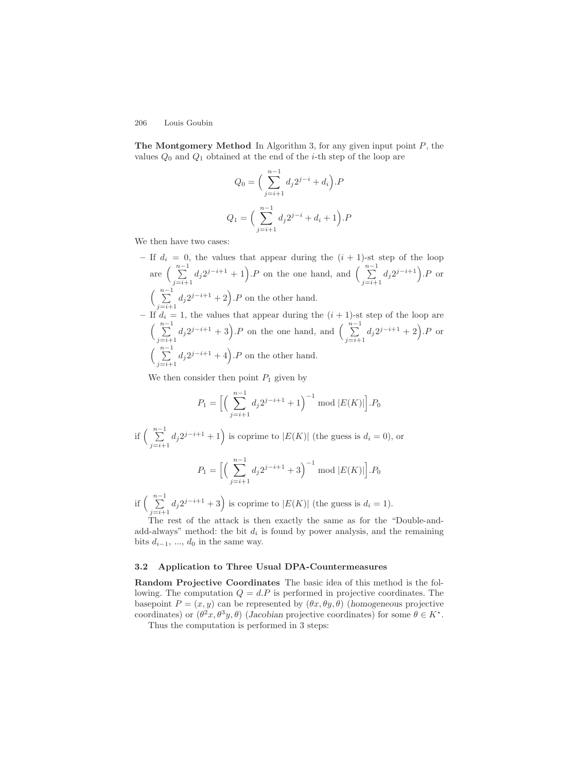**The Montgomery Method** In Algorithm 3, for any given input point P, the values  $Q_0$  and  $Q_1$  obtained at the end of the *i*-th step of the loop are

$$
Q_0 = \left(\sum_{j=i+1}^{n-1} d_j 2^{j-i} + d_i\right).P
$$
  

$$
Q_1 = \left(\sum_{j=i+1}^{n-1} d_j 2^{j-i} + d_i + 1\right).P
$$

We then have two cases:

 $-$  If  $d_i = 0$ , the values that appear during the  $(i + 1)$ -st step of the loop are *<sup>n</sup>*−<sup>1</sup>  $\sum_{j=i+1}^{n-1} d_j 2^{j-i+1} + 1$ . P on the one hand, and  $\Big(\sum_{j=i+1}^{n-1} d_j 2^{j-i+1} + 1\Big)$ .  $\sum_{j=i+1}^{n-1} d_j 2^{j-i+1}$ . *P* or  $\left(\begin{array}{c}n-1\\ \sum\end{array}\right]$  $\sum_{j=i+1}^{n-1} d_j 2^{j-i+1} + 2$ . *P* on the other hand.  $-$  If  $d_i = 1$ , the values that appear during the  $(i + 1)$ -st step of the loop are  $\left(\begin{array}{c}n-1\\ \sum\end{array}\right]$  $\sum_{j=i+1}^{n-1} d_j 2^{j-i+1} + 3$ . P on the one hand, and  $\Big(\sum_{j=i+1}^{n-1} d_j 2^{j-i+1} + 3\Big)$ .  $\sum_{j=i+1}^{n-1} d_j 2^{j-i+1} + 2$ . *P* or  $\left(\begin{array}{c}n-1\\ \sum\end{array}\right]$  $\sum_{j=i+1}^{n-1} d_j 2^{j-i+1} + 4$ . P on the other hand.

We then consider then point  $P_1$  given by

$$
P_1 = \Big[ \Big( \sum_{j=i+1}^{n-1} d_j 2^{j-i+1} + 1 \Big)^{-1} \bmod |E(K)| \Big]. P_0
$$

if 
$$
\left(\sum_{j=i+1}^{n-1} d_j 2^{j-i+1} + 1\right)
$$
 is coprime to  $|E(K)|$  (the guess is  $d_i = 0$ ), or  
\n
$$
P_1 = \Big[\Big(\sum_{j=i+1}^{n-1} d_j 2^{j-i+1} + 3\Big)^{-1} \bmod |E(K)|\Big].P_0
$$

if  $\left( \begin{array}{c} n-1 \\ \sum \end{array} \right)$  $\sum_{j=i+1}^{n-1} d_j 2^{j-i+1} + 3$  is coprime to  $|E(K)|$  (the guess is  $d_i = 1$ ).

The rest of the attack is then exactly the same as for the "Double-andadd-always" method: the bit  $d_i$  is found by power analysis, and the remaining bits  $d_{i-1}, \ldots, d_0$  in the same way.

#### **3.2 Application to Three Usual DPA-Countermeasures**

**Random Projective Coordinates** The basic idea of this method is the following. The computation  $Q = dP$  is performed in projective coordinates. The basepoint  $P = (x, y)$  can be represented by  $(\theta x, \theta y, \theta)$  (*homogeneous* projective coordinates) or  $(\theta^2 x, \theta^3 y, \theta)$  (*Jacobian* projective coordinates) for some  $\theta \in K^*$ .

Thus the computation is performed in 3 steps: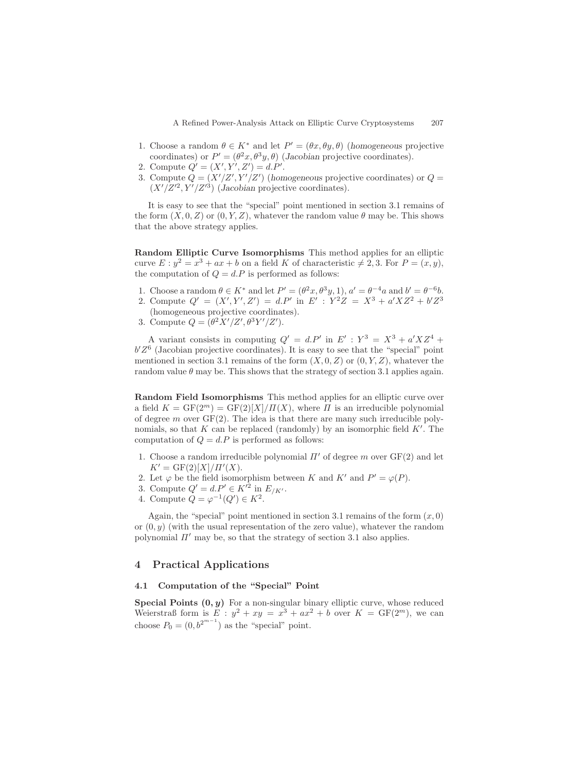- 1. Choose a random  $\theta \in K^*$  and let  $P' = (\theta x, \theta y, \theta)$  (*homogeneous* projective coordinates) or  $P' = (\theta^2 x, \theta^3 y, \theta)$  (*Jacobian* projective coordinates).
- 2. Compute  $Q' = (X', Y', Z') = d.P'.$
- 3. Compute  $Q = (X'/Z', Y'/Z')$  (homogeneous projective coordinates) or  $Q =$  $(X'/Z'^2, Y'/Z'^3)$  (*Jacobian* projective coordinates).

It is easy to see that the "special" point mentioned in section 3.1 remains of the form  $(X, 0, Z)$  or  $(0, Y, Z)$ , whatever the random value  $\theta$  may be. This shows that the above strategy applies.

**Random Elliptic Curve Isomorphisms** This method applies for an elliptic curve  $E: y^2 = x^3 + ax + b$  on a field K of characteristic  $\neq 2, 3$ . For  $P = (x, y)$ , the computation of  $Q = d.P$  is performed as follows:

- 1. Choose a random  $\theta \in K^*$  and let  $P' = (\theta^2 x, \theta^3 y, 1), a' = \theta^{-4}a$  and  $b' = \theta^{-6}b$ .
- 2. Compute  $Q' = (X', Y', Z') = d.P'$  in  $E' : Y^2Z = X^3 + a'XZ^2 + b'Z^3$ (homogeneous projective coordinates).
- 3. Compute  $Q = (\theta^2 X'/Z', \theta^3 Y'/Z').$

A variant consists in computing  $Q' = d.P'$  in  $E' : Y^3 = X^3 + a'XZ^4 +$  $b'Z^6$  (Jacobian projective coordinates). It is easy to see that the "special" point mentioned in section 3.1 remains of the form  $(X, 0, Z)$  or  $(0, Y, Z)$ , whatever the random value  $\theta$  may be. This shows that the strategy of section 3.1 applies again.

**Random Field Isomorphisms** This method applies for an elliptic curve over a field  $K = \text{GF}(2^m) = \text{GF}(2)[X]/\Pi(X)$ , where  $\Pi$  is an irreducible polynomial of degree m over  $GF(2)$ . The idea is that there are many such irreducible polynomials, so that  $K$  can be replaced (randomly) by an isomorphic field  $K'$ . The computation of  $Q = d.P$  is performed as follows:

- 1. Choose a random irreducible polynomial  $\Pi'$  of degree m over  $GF(2)$  and let  $K' = \frac{GF(2)[X]/\Pi'(X)}{F}$ .
- 2. Let  $\varphi$  be the field isomorphism between K and K' and  $P' = \varphi(P)$ .
- 3. Compute  $Q' = d.P' \in K'^2$  in  $E_{/K'}$ .
- 4. Compute  $\hat{Q} = \varphi^{-1}(Q') \in K^2$ .

Again, the "special" point mentioned in section 3.1 remains of the form  $(x, 0)$ or  $(0, y)$  (with the usual representation of the zero value), whatever the random polynomial  $\Pi'$  may be, so that the strategy of section 3.1 also applies.

## **4 Practical Applications**

# **4.1 Computation of the "Special" Point**

**Special Points (0***, y***)** For a non-singular binary elliptic curve, whose reduced Weierstraß form is  $E : y^2 + xy = x^3 + ax^2 + b$  over  $K = \text{GF}(2^m)$ , we can choose  $P_0 = (0, b^{2^{m-1}})$  as the "special" point.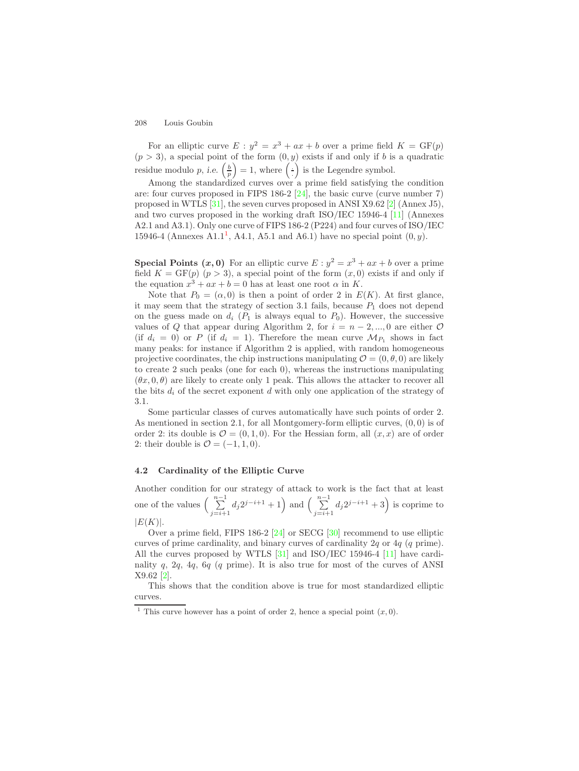<span id="page-9-1"></span>For an elliptic curve  $E : y^2 = x^3 + ax + b$  over a prime field  $K = \text{GF}(p)$  $(p > 3)$ , a special point of the form  $(0, y)$  exists if and only if b is a quadratic residue modulo p, *i.e.*  $\left(\frac{b}{p}\right) = 1$ , where  $\left(\frac{b}{p}\right)$  is the Legendre symbol.

Among the standardized curves over a prime field satisfying the condition are: four curves proposed in FIPS 186-2 [\[24\]](#page-11-16), the basic curve (curve number 7) proposed in WTLS [\[31\]](#page-12-2), the seven curves proposed in ANSI X9.62 [\[2\]](#page-10-8) (Annex J5), and two curves proposed in the working draft ISO/IEC 15946-4 [\[11\]](#page-10-10) (Annexes A2.1 and A3.1). Only one curve of FIPS 186-2 (P224) and four curves of ISO/IEC [1](#page-9-0)5946-4 (Annexes A1.1<sup>1</sup>, A4.1, A5.1 and A6.1) have no special point  $(0, y)$ .

**Special Points**  $(x, 0)$  For an elliptic curve  $E: y^2 = x^3 + ax + b$  over a prime field  $K = GF(p)$   $(p > 3)$ , a special point of the form  $(x, 0)$  exists if and only if the equation  $x^3 + ax + b = 0$  has at least one root  $\alpha$  in K.

Note that  $P_0 = (\alpha, 0)$  is then a point of order 2 in  $E(K)$ . At first glance, it may seem that the strategy of section 3.1 fails, because  $P_1$  does not depend on the guess made on  $d_i$  ( $P_1$  is always equal to  $P_0$ ). However, the successive values of Q that appear during Algorithm 2, for  $i = n - 2, ..., 0$  are either  $\mathcal O$ (if  $d_i = 0$ ) or P (if  $d_i = 1$ ). Therefore the mean curve  $\mathcal{M}_{P_1}$  shows in fact many peaks: for instance if Algorithm 2 is applied, with random homogeneous projective coordinates, the chip instructions manipulating  $\mathcal{O} = (0, \theta, 0)$  are likely to create 2 such peaks (one for each 0), whereas the instructions manipulating  $(\theta x, 0, \theta)$  are likely to create only 1 peak. This allows the attacker to recover all the bits  $d_i$  of the secret exponent  $d$  with only one application of the strategy of 3.1.

<span id="page-9-0"></span>Some particular classes of curves automatically have such points of order 2. As mentioned in section 2.1, for all Montgomery-form elliptic curves,  $(0,0)$  is of order 2: its double is  $\mathcal{O} = (0, 1, 0)$ . For the Hessian form, all  $(x, x)$  are of order 2: their double is  $\mathcal{O} = (-1, 1, 0)$ .

# **4.2 Cardinality of the Elliptic Curve**

Another condition for our strategy of attack to work is the fact that at least one of the values  $\begin{pmatrix} n-1 \\ \sum \end{pmatrix}$  $\sum_{j=i+1}^{n-1} d_j 2^{j-i+1} + 1$  and  $\left(\sum_{j=i+1}^{n-1} d_j 2^{j-i+1} + 1\right)$  $\sum_{j=i+1}^{n-1} d_j 2^{j-i+1} + 3$  is coprime to  $|E(K)|$ .

Over a prime field, FIPS 186-2 [\[24\]](#page-11-16) or SECG [\[30\]](#page-12-1) recommend to use elliptic curves of prime cardinality, and binary curves of cardinality  $2q$  or  $4q$  (q prime). All the curves proposed by WTLS  $[31]$  and ISO/IEC 15946-4  $[11]$  have cardinality q, 2q, 4q, 6q (q prime). It is also true for most of the curves of ANSI X9.62 [\[2\]](#page-10-8).

This shows that the condition above is true for most standardized elliptic curves.

<sup>&</sup>lt;sup>1</sup> This curve however has a point of order 2, hence a special point  $(x, 0)$ .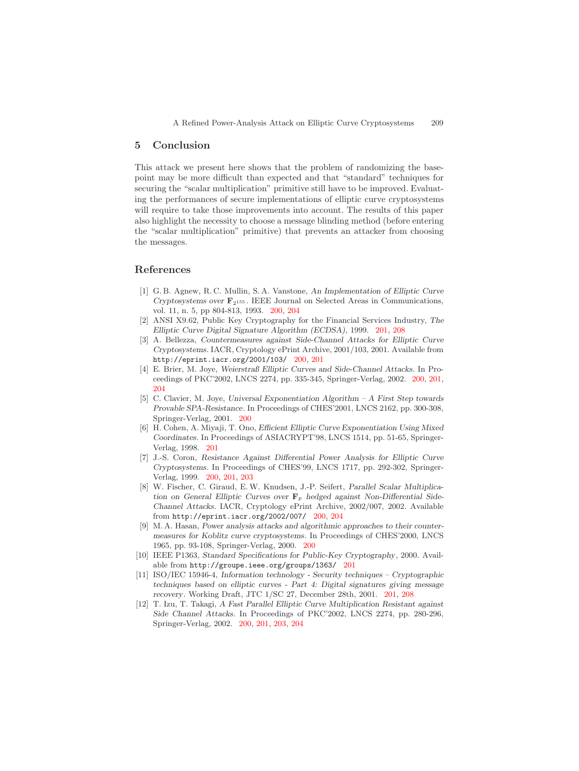# **5 Conclusion**

This attack we present here shows that the problem of randomizing the basepoint may be more difficult than expected and that "standard" techniques for securing the "scalar multiplication" primitive still have to be improved. Evaluating the performances of secure implementations of elliptic curve cryptosystems will require to take those improvements into account. The results of this paper also highlight the necessity to choose a message blinding method (before entering the "scalar multiplication" primitive) that prevents an attacker from choosing the messages.

# <span id="page-10-8"></span><span id="page-10-1"></span>**References**

- <span id="page-10-6"></span>[1] G. B. Agnew, R. C. Mullin, S. A. Vanstone, *An Implementation of Elliptic Curve Cryptosystems over* **F**2<sup>155</sup> . IEEE Journal on Selected Areas in Communications, vol. 11, n. 5, pp 804-813, 1993. [200,](#page-1-0) [204](#page-5-0)
- <span id="page-10-3"></span>[2] ANSI X9.62, Public Key Cryptography for the Financial Services Industry, *The Elliptic Curve Digital Signature Algorithm (ECDSA)*, 1999. [201,](#page-2-0) [208](#page-9-1)
- [3] A. Bellezza, *Countermeasures against Side-Channel Attacks for Elliptic Curve Cryptosystems*. IACR, Cryptology ePrint Archive, 2001/103, 2001. Available from http://eprint.iacr.org/2001/103/ [200,](#page-1-0) [201](#page-2-0)
- <span id="page-10-5"></span>[4] E. Brier, M. Joye, *WeierstraßElliptic Curves and Side-Channel Attacks*. In Proceedings of PKC'2002, LNCS 2274, pp. 335-345, Springer-Verlag, 2002. [200,](#page-1-0) [201,](#page-2-0) [204](#page-5-0)
- <span id="page-10-11"></span>[5] C. Clavier, M. Joye, *Universal Exponentiation Algorithm – A First Step towards Provable SPA-Resistance*. In Proceedings of CHES'2001, LNCS 2162, pp. 300-308, Springer-Verlag, 2001. [200](#page-1-0)
- <span id="page-10-0"></span>[6] H. Cohen, A. Miyaji, T. Ono, *Efficient Elliptic Curve Exponentiation Using Mixed Coordinates*. In Proceedings of ASIACRYPT'98, LNCS 1514, pp. 51-65, Springer-Verlag, 1998. [201](#page-2-0)
- <span id="page-10-4"></span>[7] J.-S. Coron, *Resistance Against Differential Power Analysis for Elliptic Curve Cryptosystems*. In Proceedings of CHES'99, LNCS 1717, pp. 292-302, Springer-Verlag, 1999. [200,](#page-1-0) [201,](#page-2-0) [203](#page-4-0)
- <span id="page-10-7"></span>[8] W. Fischer, C. Giraud, E. W. Knudsen, J.-P. Seifert, *Parallel Scalar Multiplication on General Elliptic Curves over* **F***<sup>p</sup> hedged against Non-Differential Side-Channel Attacks*. IACR, Cryptology ePrint Archive, 2002/007, 2002. Available from http://eprint.iacr.org/2002/007/ [200,](#page-1-0) [204](#page-5-0)
- <span id="page-10-9"></span>[9] M. A. Hasan, *Power analysis attacks and algorithmic approaches to their countermeasures for Koblitz curve cryptosystems*. In Proceedings of CHES'2000, LNCS 1965, pp. 93-108, Springer-Verlag, 2000. [200](#page-1-0)
- <span id="page-10-10"></span>[10] IEEE P1363, *Standard Specifications for Public-Key Cryptography*, 2000. Available from http://groupe.ieee.org/groups/1363/ [201](#page-2-0)
- <span id="page-10-2"></span>[11] ISO/IEC 15946-4, *Information technology - Security techniques – Cryptographic techniques based on elliptic curves - Part 4: Digital signatures giving message recovery*. Working Draft, JTC 1/SC 27, December 28th, 2001. [201,](#page-2-0) [208](#page-9-1)
- [12] T. Izu, T. Takagi, *A Fast Parallel Elliptic Curve Multiplication Resistant against Side Channel Attacks*. In Proceedings of PKC'2002, LNCS 2274, pp. 280-296, Springer-Verlag, 2002. [200,](#page-1-0) [201,](#page-2-0) [203,](#page-4-0) [204](#page-5-0)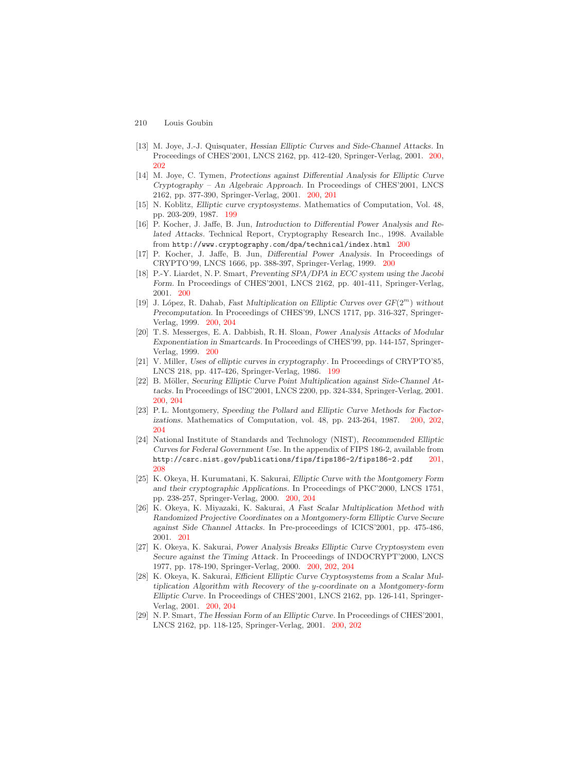- <span id="page-11-14"></span><span id="page-11-12"></span>210 Louis Goubin
- [13] M. Joye, J.-J. Quisquater, *Hessian Elliptic Curves and Side-Channel Attacks*. In Proceedings of CHES'2001, LNCS 2162, pp. 412-420, Springer-Verlag, 2001. [200,](#page-1-0) [202](#page-3-0)
- <span id="page-11-2"></span><span id="page-11-1"></span>[14] M. Joye, C. Tymen, *Protections against Differential Analysis for Elliptic Curve Cryptography – An Algebraic Approach*. In Proceedings of CHES'2001, LNCS 2162, pp. 377-390, Springer-Verlag, 2001. [200,](#page-1-0) [201](#page-2-0)
- <span id="page-11-3"></span>[15] N. Koblitz, *Elliptic curve cryptosystems*. Mathematics of Computation, Vol. 48, pp. 203-209, 1987. [199](#page-0-0)
- <span id="page-11-13"></span>[16] P. Kocher, J. Jaffe, B. Jun, *Introduction to Differential Power Analysis and Related Attacks*. Technical Report, Cryptography Research Inc., 1998. Available from http://www.cryptography.com/dpa/technical/index.html [200](#page-1-0)
- <span id="page-11-8"></span>[17] P. Kocher, J. Jaffe, B. Jun, *Differential Power Analysis*. In Proceedings of CRYPTO'99, LNCS 1666, pp. 388-397, Springer-Verlag, 1999. [200](#page-1-0)
- [18] P.-Y. Liardet, N. P. Smart, *Preventing SPA/DPA in ECC system using the Jacobi Form*. In Proceedings of CHES'2001, LNCS 2162, pp. 401-411, Springer-Verlag, 2001. [200](#page-1-0)
- <span id="page-11-4"></span>[19] J. L´opez, R. Dahab, *Fast Multiplication on Elliptic Curves over GF*(2*<sup>m</sup>*) *without Precomputation*. In Proceedings of CHES'99, LNCS 1717, pp. 316-327, Springer-Verlag, 1999. [200,](#page-1-0) [204](#page-5-0)
- <span id="page-11-10"></span><span id="page-11-0"></span>[20 ] T. S. Messerges, E. A. Dabbish, R. H. Sloan, *Power Analysis Attacks of Modular Exponentiation in Smartcards*. In Proceedings of CHES'99, pp. 144-157, Springer-Verlag, 1999. [200](#page-1-0)
- <span id="page-11-5"></span>[21] V. Miller, *Uses of elliptic curves in cryptography*. In Proceedings of CRYPTO'85, LNCS 218, pp. 417-426, Springer-Verlag, 1986. [199](#page-0-0)
- [22] B. Möller, *Securing Elliptic Curve Point Multiplication against Side-Channel Attacks*. In Proceedings of ISC'2001, LNCS 2200, pp. 324-334, Springer-Verlag, 2001. [200,](#page-1-0) [204](#page-5-0)
- <span id="page-11-16"></span>[23] P. L. Montgomery, *Speeding the Pollard and Elliptic Curve Methods for Factorizations*. Mathematics of Computation, vol. 48, pp. 243-264, 1987. [200,](#page-1-0) [202,](#page-3-0) [204](#page-5-0)
- <span id="page-11-6"></span>[24] National Institute of Standards and Technology (NIST), *Recommended Elliptic Curves for Federal Government Use*. In the appendix of FIPS 186-2, available from http://csrc.nist.gov/publications/fips/fips186-2/fips186-2.pdf [201,](#page-2-0) [208](#page-9-1)
- <span id="page-11-15"></span>[25] K. Okeya, H. Kurumatani, K. Sakurai, *Elliptic Curve with the Montgomery Form and their cryptographic Applications*. In Proceedings of PKC'2000, LNCS 1751, pp. 238-257, Springer-Verlag, 2000. [200,](#page-1-0) [204](#page-5-0)
- <span id="page-11-7"></span>[26] K. Okeya, K. Miyazaki, K. Sakurai, *A Fast Scalar Multiplication Method with Randomized Projective Coordinates on a Montgomery-form Elliptic Curve Secure against Side Channel Attacks*. In Pre-proceedings of ICICS'2001, pp. 475-486, 2001. [201](#page-2-0)
- <span id="page-11-9"></span>[27] K. Okeya, K. Sakurai, *Power Analysis Breaks Elliptic Curve Cryptosystem even Secure against the Timing Attack*. In Proceedings of INDOCRYPT'2000, LNCS 1977, pp. 178-190, Springer-Verlag, 2000. [200,](#page-1-0) [202,](#page-3-0) [204](#page-5-0)
- <span id="page-11-11"></span>[28] K. Okeya, K. Sakurai, *Efficient Elliptic Curve Cryptosystems from a Scalar Multiplication Algorithm with Recovery of the y-coordinate on a Montgomery-form Elliptic Curve*. In Proceedings of CHES'2001, LNCS 2162, pp. 126-141, Springer-Verlag, 2001. [200,](#page-1-0) [204](#page-5-0)
- [29] N. P. Smart, *The Hessian Form of an Elliptic Curve*. In Proceedings of CHES'2001, LNCS 2162, pp. 118-125, Springer-Verlag, 2001. [200,](#page-1-0) [202](#page-3-0)